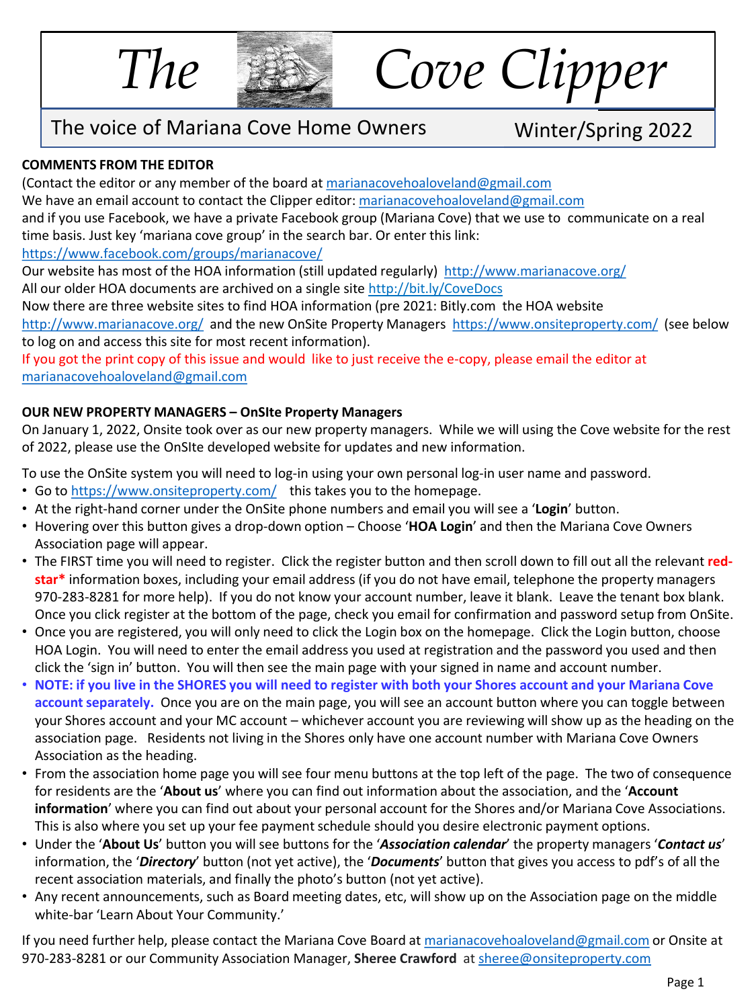

*The Cove Clipper*

## The voice of Mariana Cove Home Owners Winter/Spring 2022

## **COMMENTS FROM THE EDITOR**

(Contact the editor or any member of the board at [marianacovehoaloveland@gmail.com](mailto:marianacovehoaloveland@gmail.com) We have an email account to contact the Clipper editor: [marianacovehoaloveland@gmail.com](mailto:marianacovehoaloveland@gmail.com) and if you use Facebook, we have a private Facebook group (Mariana Cove) that we use to communicate on a real time basis. Just key 'mariana cove group' in the search bar. Or enter this link: <https://www.facebook.com/groups/marianacove/>

Our website has most of the HOA information (still updated regularly) <http://www.marianacove.org/> All our older HOA documents are archived on a single site<http://bit.ly/CoveDocs>

Now there are three website sites to find HOA information (pre 2021: Bitly.com the HOA website

<http://www.marianacove.org/> and the new OnSite Property Managers <https://www.onsiteproperty.com/> (see below to log on and access this site for most recent information).

If you got the print copy of this issue and would like to just receive the e-copy, please email the editor at [marianacovehoaloveland@gmail.com](mailto:marianacovehoaloveland@gmail.com)

## **OUR NEW PROPERTY MANAGERS – OnSIte Property Managers**

On January 1, 2022, Onsite took over as our new property managers. While we will using the Cove website for the rest of 2022, please use the OnSIte developed website for updates and new information.

To use the OnSite system you will need to log-in using your own personal log-in user name and password.

- Go to <https://www.onsiteproperty.com/> this takes you to the homepage.
- At the right-hand corner under the OnSite phone numbers and email you will see a '**Login**' button.
- Hovering over this button gives a drop-down option Choose '**HOA Login**' and then the Mariana Cove Owners Association page will appear.
- The FIRST time you will need to register. Click the register button and then scroll down to fill out all the relevant **redstar\*** information boxes, including your email address (if you do not have email, telephone the property managers 970-283-8281 for more help). If you do not know your account number, leave it blank. Leave the tenant box blank. Once you click register at the bottom of the page, check you email for confirmation and password setup from OnSite.
- Once you are registered, you will only need to click the Login box on the homepage. Click the Login button, choose HOA Login. You will need to enter the email address you used at registration and the password you used and then click the 'sign in' button. You will then see the main page with your signed in name and account number.
- **NOTE: if you live in the SHORES you will need to register with both your Shores account and your Mariana Cove account separately.** Once you are on the main page, you will see an account button where you can toggle between your Shores account and your MC account – whichever account you are reviewing will show up as the heading on the association page. Residents not living in the Shores only have one account number with Mariana Cove Owners Association as the heading.
- From the association home page you will see four menu buttons at the top left of the page. The two of consequence for residents are the '**About us**' where you can find out information about the association, and the '**Account information**' where you can find out about your personal account for the Shores and/or Mariana Cove Associations. This is also where you set up your fee payment schedule should you desire electronic payment options.
- Under the '**About Us**' button you will see buttons for the '*Association calendar*' the property managers '*Contact us*' information, the '*Directory*' button (not yet active), the '*Documents*' button that gives you access to pdf's of all the recent association materials, and finally the photo's button (not yet active).
- Any recent announcements, such as Board meeting dates, etc, will show up on the Association page on the middle white-bar 'Learn About Your Community.'

If you need further help, please contact the Mariana Cove Board at [marianacovehoaloveland@gmail.com](mailto:marianacovehoaloveland@gmail.com) or Onsite at 970-283-8281 or our Community Association Manager, **Sheree Crawford** at [sheree@onsiteproperty.com](mailto:sheree@onsiteproperty.com)